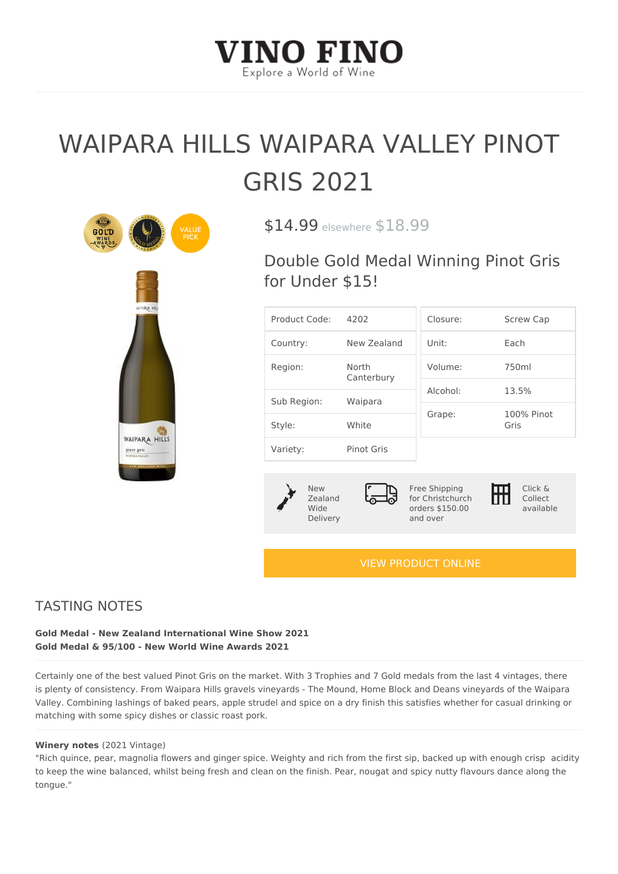## WAIPARA HILLS WAIPARA VALL GRIS 2021

\$14.99sewhe& 18.99

Double Gold Medal Winning Pino for Under \$15!

| Product Code4:202   |                   | Closure:                         | Screw Cap          |
|---------------------|-------------------|----------------------------------|--------------------|
| Country:            | New Zealand Unit: |                                  | $E$ a c h          |
| North<br>Region:    | Canterbury        | Volume: 750ml                    |                    |
|                     |                   | $A$   $C$ $O$ $h$ $O$   $\colon$ | $13.5\%$           |
| Sub Region: Waipara |                   | Grape:                           | 100% Pinot<br>Gris |
| Style:              | White             |                                  |                    |
| Variety:            | Pinot Gris        |                                  |                    |

| N e w      |  |
|------------|--|
| $Z$ ealand |  |
| Wide       |  |
| Delivery   |  |

Free Shipping for Christchurch orders \$150.00 and over Click & Collect available

## [VIEW PRODUCT ONLINE](https://vinofino.co.nz/product/waipara-hills-waipara-valley-pinot-gris-2021/)

## TASTING NOTES

Gold Medal - New Zealand International Wine Show 2021 Gold Medal & 95/100 - New World Wine Awards 2021

Certainly one of the best valued Pinot Gris on the market. With 3 Trophies and 7 Gold medals f is plenty of consistency. From Waipara Hills gravels vineyards - The Mound, Home Block and De Valley. Combining lashings of baked pears, apple strudel and spice on a dry finish this satisfie matching with some spicy dishes or classic roast pork.

Winery note  $(2021$  Vintage)

"Rich quince, pear, magnolia flowers and ginger spice. Weighty and rich from the firsacs dipty back to keep the wine balanced, whilst being fresh and clean on the finish. Pear, nougat and spicy n tongue."